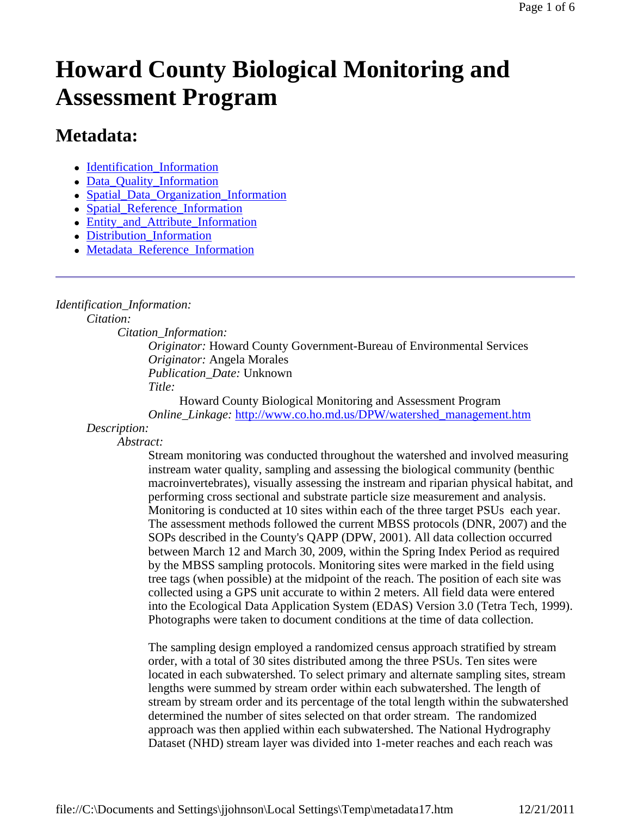# **Howard County Biological Monitoring and Assessment Program**

## **Metadata:**

- Identification Information
- Data\_Quality\_Information
- Spatial Data Organization Information
- Spatial Reference Information
- Entity and Attribute Information
- Distribution Information
- Metadata\_Reference\_Information

### *Identification\_Information:*

*Citation:*

*Citation\_Information:*

*Originator:* Howard County Government-Bureau of Environmental Services *Originator:* Angela Morales *Publication\_Date:* Unknown *Title:*

Howard County Biological Monitoring and Assessment Program *Online\_Linkage:* http://www.co.ho.md.us/DPW/watershed\_management.htm

*Description:*

*Abstract:*

Stream monitoring was conducted throughout the watershed and involved measuring instream water quality, sampling and assessing the biological community (benthic macroinvertebrates), visually assessing the instream and riparian physical habitat, and performing cross sectional and substrate particle size measurement and analysis. Monitoring is conducted at 10 sites within each of the three target PSUs each year. The assessment methods followed the current MBSS protocols (DNR, 2007) and the SOPs described in the County's QAPP (DPW, 2001). All data collection occurred between March 12 and March 30, 2009, within the Spring Index Period as required by the MBSS sampling protocols. Monitoring sites were marked in the field using tree tags (when possible) at the midpoint of the reach. The position of each site was collected using a GPS unit accurate to within 2 meters. All field data were entered into the Ecological Data Application System (EDAS) Version 3.0 (Tetra Tech, 1999). Photographs were taken to document conditions at the time of data collection.

The sampling design employed a randomized census approach stratified by stream order, with a total of 30 sites distributed among the three PSUs. Ten sites were located in each subwatershed. To select primary and alternate sampling sites, stream lengths were summed by stream order within each subwatershed. The length of stream by stream order and its percentage of the total length within the subwatershed determined the number of sites selected on that order stream. The randomized approach was then applied within each subwatershed. The National Hydrography Dataset (NHD) stream layer was divided into 1-meter reaches and each reach was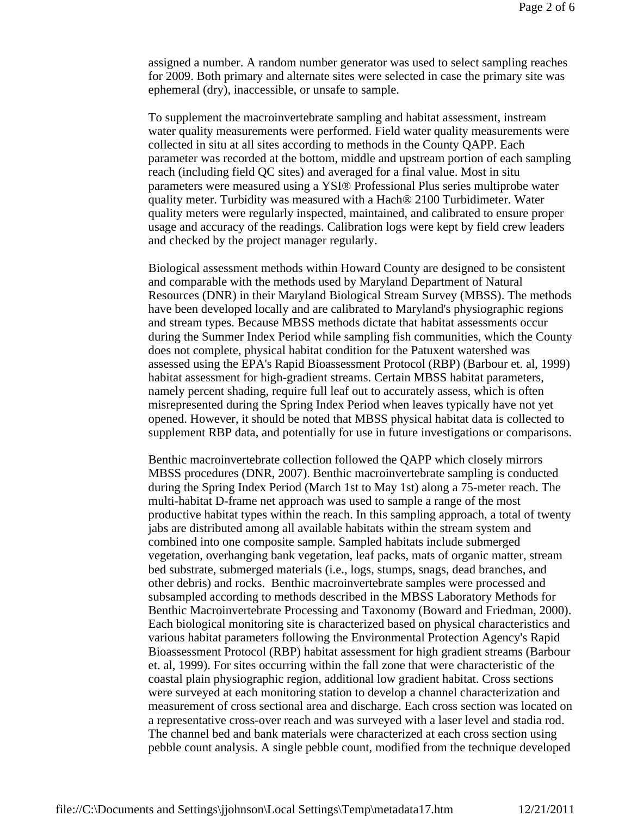assigned a number. A random number generator was used to select sampling reaches for 2009. Both primary and alternate sites were selected in case the primary site was ephemeral (dry), inaccessible, or unsafe to sample.

To supplement the macroinvertebrate sampling and habitat assessment, instream water quality measurements were performed. Field water quality measurements were collected in situ at all sites according to methods in the County QAPP. Each parameter was recorded at the bottom, middle and upstream portion of each sampling reach (including field QC sites) and averaged for a final value. Most in situ parameters were measured using a YSI® Professional Plus series multiprobe water quality meter. Turbidity was measured with a Hach® 2100 Turbidimeter. Water quality meters were regularly inspected, maintained, and calibrated to ensure proper usage and accuracy of the readings. Calibration logs were kept by field crew leaders and checked by the project manager regularly.

Biological assessment methods within Howard County are designed to be consistent and comparable with the methods used by Maryland Department of Natural Resources (DNR) in their Maryland Biological Stream Survey (MBSS). The methods have been developed locally and are calibrated to Maryland's physiographic regions and stream types. Because MBSS methods dictate that habitat assessments occur during the Summer Index Period while sampling fish communities, which the County does not complete, physical habitat condition for the Patuxent watershed was assessed using the EPA's Rapid Bioassessment Protocol (RBP) (Barbour et. al, 1999) habitat assessment for high-gradient streams. Certain MBSS habitat parameters, namely percent shading, require full leaf out to accurately assess, which is often misrepresented during the Spring Index Period when leaves typically have not yet opened. However, it should be noted that MBSS physical habitat data is collected to supplement RBP data, and potentially for use in future investigations or comparisons.

Benthic macroinvertebrate collection followed the QAPP which closely mirrors MBSS procedures (DNR, 2007). Benthic macroinvertebrate sampling is conducted during the Spring Index Period (March 1st to May 1st) along a 75-meter reach. The multi-habitat D-frame net approach was used to sample a range of the most productive habitat types within the reach. In this sampling approach, a total of twenty jabs are distributed among all available habitats within the stream system and combined into one composite sample. Sampled habitats include submerged vegetation, overhanging bank vegetation, leaf packs, mats of organic matter, stream bed substrate, submerged materials (i.e., logs, stumps, snags, dead branches, and other debris) and rocks. Benthic macroinvertebrate samples were processed and subsampled according to methods described in the MBSS Laboratory Methods for Benthic Macroinvertebrate Processing and Taxonomy (Boward and Friedman, 2000). Each biological monitoring site is characterized based on physical characteristics and various habitat parameters following the Environmental Protection Agency's Rapid Bioassessment Protocol (RBP) habitat assessment for high gradient streams (Barbour et. al, 1999). For sites occurring within the fall zone that were characteristic of the coastal plain physiographic region, additional low gradient habitat. Cross sections were surveyed at each monitoring station to develop a channel characterization and measurement of cross sectional area and discharge. Each cross section was located on a representative cross-over reach and was surveyed with a laser level and stadia rod. The channel bed and bank materials were characterized at each cross section using pebble count analysis. A single pebble count, modified from the technique developed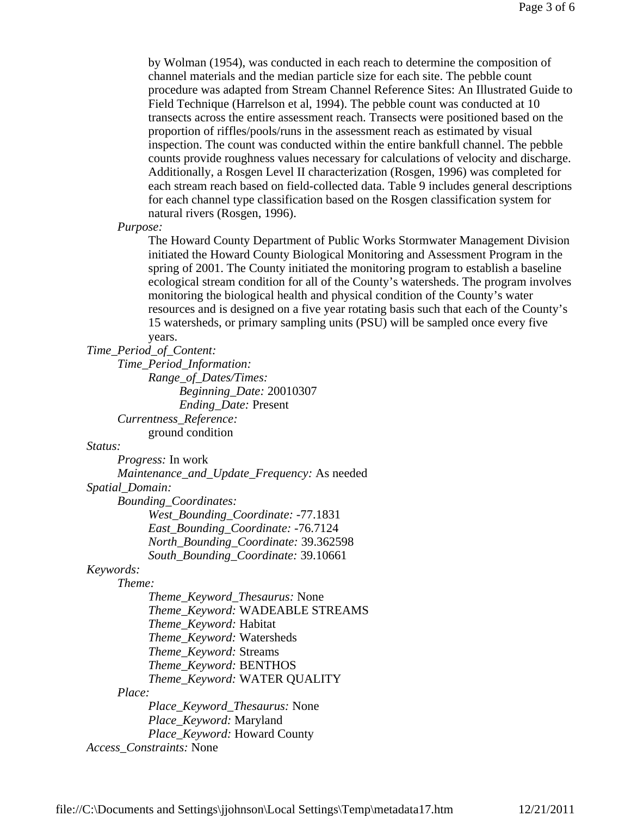by Wolman (1954), was conducted in each reach to determine the composition of channel materials and the median particle size for each site. The pebble count procedure was adapted from Stream Channel Reference Sites: An Illustrated Guide to Field Technique (Harrelson et al, 1994). The pebble count was conducted at 10 transects across the entire assessment reach. Transects were positioned based on the proportion of riffles/pools/runs in the assessment reach as estimated by visual inspection. The count was conducted within the entire bankfull channel. The pebble counts provide roughness values necessary for calculations of velocity and discharge. Additionally, a Rosgen Level II characterization (Rosgen, 1996) was completed for each stream reach based on field-collected data. Table 9 includes general descriptions for each channel type classification based on the Rosgen classification system for natural rivers (Rosgen, 1996).

*Purpose:*

The Howard County Department of Public Works Stormwater Management Division initiated the Howard County Biological Monitoring and Assessment Program in the spring of 2001. The County initiated the monitoring program to establish a baseline ecological stream condition for all of the County's watersheds. The program involves monitoring the biological health and physical condition of the County's water resources and is designed on a five year rotating basis such that each of the County's 15 watersheds, or primary sampling units (PSU) will be sampled once every five years.

#### *Time\_Period\_of\_Content:*

*Time\_Period\_Information: Range\_of\_Dates/Times: Beginning\_Date:* 20010307 *Ending\_Date:* Present *Currentness\_Reference:* ground condition

#### *Status:*

*Progress:* In work *Maintenance\_and\_Update\_Frequency:* As needed *Spatial\_Domain: Bounding\_Coordinates: West\_Bounding\_Coordinate:* -77.1831 *East\_Bounding\_Coordinate:* -76.7124 *North\_Bounding\_Coordinate:* 39.362598 *South\_Bounding\_Coordinate:* 39.10661 *Keywords: Theme:*

*Theme\_Keyword\_Thesaurus:* None *Theme\_Keyword:* WADEABLE STREAMS *Theme\_Keyword:* Habitat *Theme\_Keyword:* Watersheds *Theme\_Keyword:* Streams *Theme\_Keyword:* BENTHOS *Theme\_Keyword:* WATER QUALITY *Place: Place\_Keyword\_Thesaurus:* None *Place\_Keyword:* Maryland *Place\_Keyword:* Howard County *Access\_Constraints:* None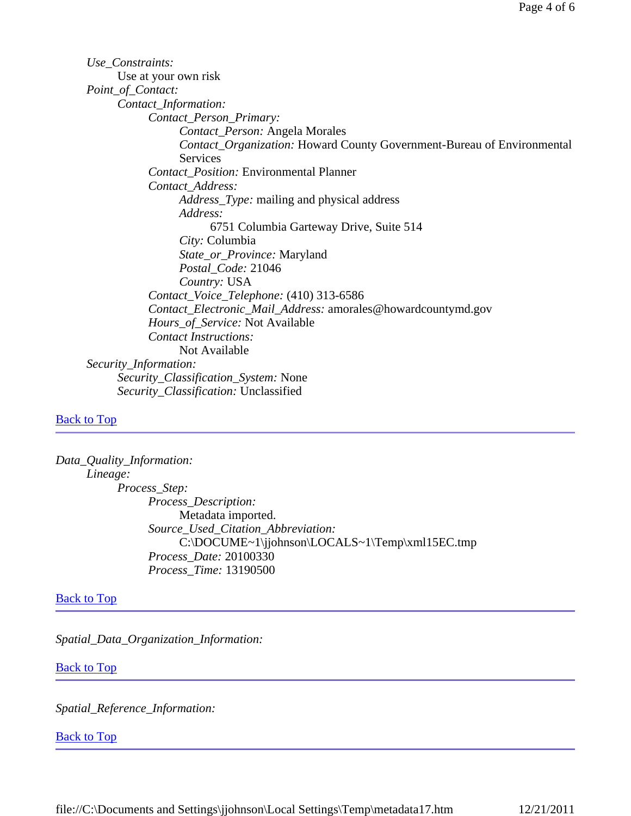*Use\_Constraints:* Use at your own risk *Point\_of\_Contact: Contact\_Information: Contact\_Person\_Primary: Contact\_Person:* Angela Morales *Contact\_Organization:* Howard County Government-Bureau of Environmental Services *Contact\_Position:* Environmental Planner *Contact\_Address: Address\_Type:* mailing and physical address *Address:* 6751 Columbia Garteway Drive, Suite 514 *City:* Columbia *State\_or\_Province:* Maryland *Postal\_Code:* 21046 *Country:* USA *Contact\_Voice\_Telephone:* (410) 313-6586 *Contact\_Electronic\_Mail\_Address:* amorales@howardcountymd.gov *Hours\_of\_Service:* Not Available *Contact Instructions:* Not Available *Security\_Information: Security\_Classification\_System:* None *Security\_Classification:* Unclassified

#### Back to Top

*Data\_Quality\_Information: Lineage: Process\_Step: Process\_Description:* Metadata imported. *Source\_Used\_Citation\_Abbreviation:* C:\DOCUME~1\jjohnson\LOCALS~1\Temp\xml15EC.tmp *Process\_Date:* 20100330 *Process\_Time:* 13190500

#### **Back to Top**

*Spatial\_Data\_Organization\_Information:*

#### Back to Top

*Spatial\_Reference\_Information:*

#### **Back to Top**

file://C:\Documents and Settings\jjohnson\Local Settings\Temp\metadata17.htm 12/21/2011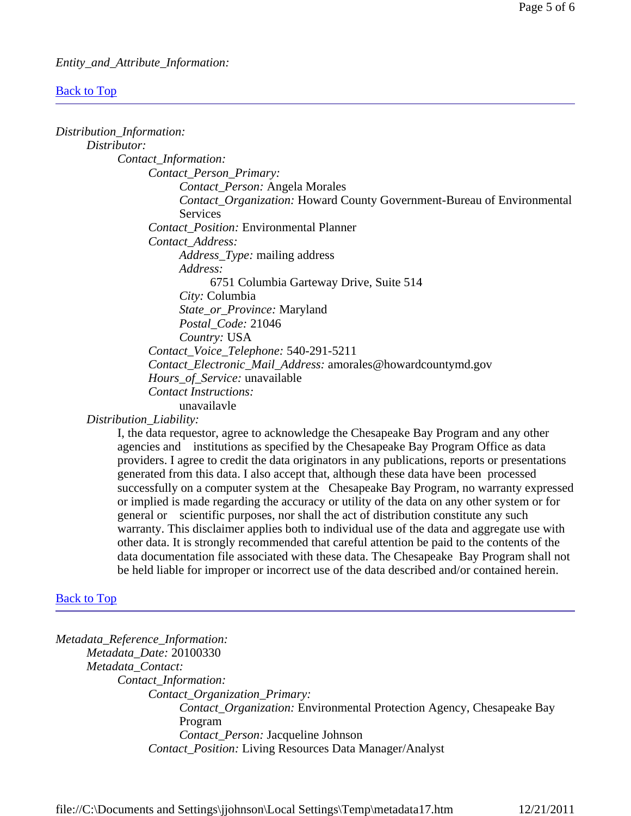#### *Entity\_and\_Attribute\_Information:*

#### Back to Top

| Distribution_Information:                                                            |  |
|--------------------------------------------------------------------------------------|--|
| Distributor:                                                                         |  |
| Contact_Information:                                                                 |  |
| Contact_Person_Primary:                                                              |  |
| Contact_Person: Angela Morales                                                       |  |
| <b>Contact_Organization: Howard County Government-Bureau of Environmental</b>        |  |
| Services                                                                             |  |
| <b>Contact_Position: Environmental Planner</b>                                       |  |
| Contact_Address:                                                                     |  |
| <i>Address_Type:</i> mailing address                                                 |  |
| Address:                                                                             |  |
| 6751 Columbia Garteway Drive, Suite 514                                              |  |
| City: Columbia                                                                       |  |
| State_or_Province: Maryland                                                          |  |
| Postal_Code: 21046                                                                   |  |
| Country: USA                                                                         |  |
| Contact_Voice_Telephone: 540-291-5211                                                |  |
| Contact_Electronic_Mail_Address: amorales@howardcountymd.gov                         |  |
| <i>Hours_of_Service:</i> unavailable                                                 |  |
| <b>Contact Instructions:</b>                                                         |  |
| unavailavle                                                                          |  |
| Distribution_Liability:                                                              |  |
| I, the data requestor, agree to acknowledge the Chesapeake Bay Program and any other |  |

agencies and institutions as specified by the Chesapeake Bay Program Office as data providers. I agree to credit the data originators in any publications, reports or presentations generated from this data. I also accept that, although these data have been processed successfully on a computer system at the Chesapeake Bay Program, no warranty expressed or implied is made regarding the accuracy or utility of the data on any other system or for general or scientific purposes, nor shall the act of distribution constitute any such warranty. This disclaimer applies both to individual use of the data and aggregate use with other data. It is strongly recommended that careful attention be paid to the contents of the data documentation file associated with these data. The Chesapeake Bay Program shall not be held liable for improper or incorrect use of the data described and/or contained herein.

#### **Back to Top**

*Metadata\_Reference\_Information: Metadata\_Date:* 20100330 *Metadata\_Contact: Contact\_Information: Contact\_Organization\_Primary: Contact\_Organization:* Environmental Protection Agency, Chesapeake Bay Program *Contact\_Person:* Jacqueline Johnson *Contact\_Position:* Living Resources Data Manager/Analyst